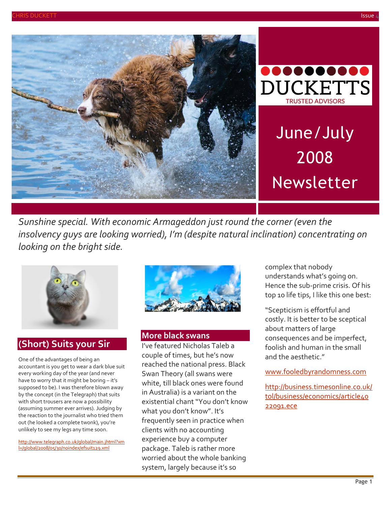



# June/July 2008 Newsletter

*Sunshine special. With economic Armageddon just round the corner (even the insolvency guys are looking worried), I'm (despite natural inclination) concentrating on looking on the bright side.*



# **(Short) Suits your Sir**

One of the advantages of being an accountant is you get to wear a dark blue suit every working day of the year (and never have to worry that it might be boring – it's supposed to be). I was therefore blown away by the concept (in the Telegraph) that suits with short trousers are now a possibility (assuming summer ever arrives). Judging by the reaction to the journalist who tried them out (he looked a complete twonk), you're unlikely to see my legs any time soon.

[http://www.telegraph.co.uk/global/main.jhtml?xm](http://www.telegraph.co.uk/global/main.jhtml?xml=/global/2008/05/30/noindex/efsuit129.xml) [l=/global/2008/05/30/noindex/efsuit129.xml](http://www.telegraph.co.uk/global/main.jhtml?xml=/global/2008/05/30/noindex/efsuit129.xml)



#### **More black swans**

I've featured Nicholas Taleb a couple of times, but he's now reached the national press. Black Swan Theory (all swans were white, till black ones were found in Australia) is a variant on the existential chant "You don't know what you don't know". It's frequently seen in practice when clients with no accounting experience buy a computer package. Taleb is rather more worried about the whole banking system, largely because it's so

complex that nobody understands what's going on. Hence the sub-prime crisis. Of his top 10 life tips, I like this one best:

"Scepticism is effortful and costly. It is better to be sceptical about matters of large consequences and be imperfect, foolish and human in the small and the aesthetic."

[www.fooledbyrandomness.com](http://www.fooledbyrandomness.com/)

[http://business.timesonline.co.uk/](http://business.timesonline.co.uk/tol/business/economics/article4022091.ece) [tol/business/economics/article40](http://business.timesonline.co.uk/tol/business/economics/article4022091.ece) [22091.ece](http://business.timesonline.co.uk/tol/business/economics/article4022091.ece)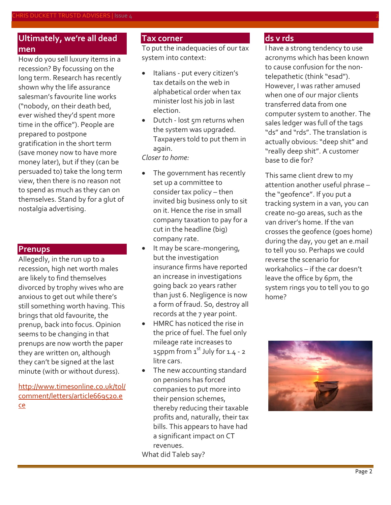## **Ultimately, we're all dead men**

How do you sell luxury items in a recession? By focussing on the long term. Research has recently shown why the life assurance salesman's favourite line works ("nobody, on their death bed, ever wished they'd spent more time in the office"). People are prepared to postpone gratification in the short term (save money now to have more money later), but if they (can be persuaded to) take the long term view, then there is no reason not to spend as much as they can on themselves. Stand by for a glut of nostalgia advertising.

## **Prenups**

Allegedly, in the run up to a recession, high net worth males are likely to find themselves divorced by trophy wives who are anxious to get out while there's still something worth having. This brings that old favourite, the prenup, back into focus. Opinion seems to be changing in that prenups are now worth the paper they are written on, although they can't be signed at the last minute (with or without duress).

[http://www.timesonline.co.uk/tol/](http://www.timesonline.co.uk/tol/comment/letters/article669520.ece) [comment/letters/article669520.e](http://www.timesonline.co.uk/tol/comment/letters/article669520.ece) [ce](http://www.timesonline.co.uk/tol/comment/letters/article669520.ece)

### **Tax corner**

To put the inadequacies of our tax system into context:

- Italians put every citizen's tax details on the web in alphabetical order when tax minister lost his job in last election.
- Dutch lost 5m returns when the system was upgraded. Taxpayers told to put them in again.

*Closer to home:*

- The government has recently set up a committee to consider tax policy – then invited big business only to sit on it. Hence the rise in small company taxation to pay for a cut in the headline (big) company rate.
- It may be scare-mongering, but the investigation insurance firms have reported an increase in investigations going back 20 years rather than just 6. Negligence is now a form of fraud. So, destroy all records at the 7 year point.
- HMRC has noticed the rise in the price of fuel. The fuel only mileage rate increases to 15ppm from  $1<sup>st</sup>$  July for 1.4 - 2 litre cars.
- The new accounting standard on pensions has forced companies to put more into their pension schemes, thereby reducing their taxable profits and, naturally, their tax bills. This appears to have had a significant impact on CT revenues. What did Taleb say?

**ds v rds**

I have a strong tendency to use acronyms which has been known to cause confusion for the nontelepathetic (think "esad"). However, I was rather amused when one of our major clients transferred data from one computer system to another. The sales ledger was full of the tags "ds" and "rds". The translation is actually obvious: "deep shit" and "really deep shit". A customer base to die for?

This same client drew to my attention another useful phrase – the "geofence". If you put a tracking system in a van, you can create no-go areas, such as the van driver's home. If the van crosses the geofence (goes home) during the day, you get an e.mail to tell you so. Perhaps we could reverse the scenario for workaholics – if the car doesn't leave the office by 6pm, the system rings you to tell you to go home?

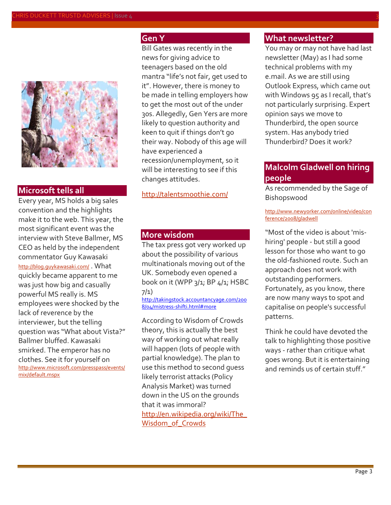

#### **Microsoft tells all**

Every year, MS holds a big sales convention and the highlights make it to the web. This year, the most significant event was the interview with Steve Ballmer, MS CEO as held by the independent commentator Guy Kawasaki <http://blog.guykawasaki.com/> . What quickly became apparent to me was just how big and casually powerful MS really is. MS employees were shocked by the lack of reverence by the interviewer, but the telling question was "What about Vista?" Ballmer bluffed. Kawasaki smirked. The emperor has no clothes. See it for yourself on [http://www.microsoft.com/presspass/events/](http://www.microsoft.com/presspass/events/mix/default.mspx) [mix/default.mspx](http://www.microsoft.com/presspass/events/mix/default.mspx)

## **Gen Y**

Bill Gates was recently in the news for giving advice to teenagers based on the old mantra "life's not fair, get used to it". However, there is money to be made in telling employers how to get the most out of the under 30s. Allegedly, Gen Yers are more likely to question authority and keen to quit if things don't go their way. Nobody of this age will have experienced a recession/unemployment, so it will be interesting to see if this changes attitudes.

<http://talentsmoothie.com/>

#### **More wisdom**

The tax press got very worked up about the possibility of various multinationals moving out of the UK. Somebody even opened a book on it (WPP 3/1; BP 4/1; HSBC 7/1)

[http://takingstock.accountancyage.com/200](http://takingstock.accountancyage.com/) [8/04/mistress-shifti.html#more](http://takingstock.accountancyage.com/)

According to Wisdom of Crowds theory, this is actually the best way of working out what really will happen (lots of people with partial knowledge). The plan to use this method to second guess likely terrorist attacks (Policy Analysis Market) was turned down in the US on the grounds that it was immoral? [http://en.wikipedia.org/wiki/The\\_](http://en.wikipedia.org/wiki/The_Wisdom_of_Crowds) Wisdom of Crowds

#### **What newsletter?**

You may or may not have had last newsletter (May) as I had some technical problems with my e.mail. As we are still using Outlook Express, which came out with Windows 95 as I recall, that's not particularly surprising. Expert opinion says we move to Thunderbird, the open source system. Has anybody tried Thunderbird? Does it work?

## **Malcolm Gladwell on hiring people**

As recommended by the Sage of Bishopswood

#### [http://www.newyorker.com/online/video/con](http://www.newyorker.com/online/video/conference/2008/gladwell) [ference/2008/gladwell](http://www.newyorker.com/online/video/conference/2008/gladwell)

"Most of the video is about 'mishiring' people - but still a good lesson for those who want to go the old-fashioned route. Such an approach does not work with outstanding performers. Fortunately, as you know, there are now many ways to spot and capitalise on people's successful patterns.

Think he could have devoted the talk to highlighting those positive ways - rather than critique what goes wrong. But it is entertaining and reminds us of certain stuff."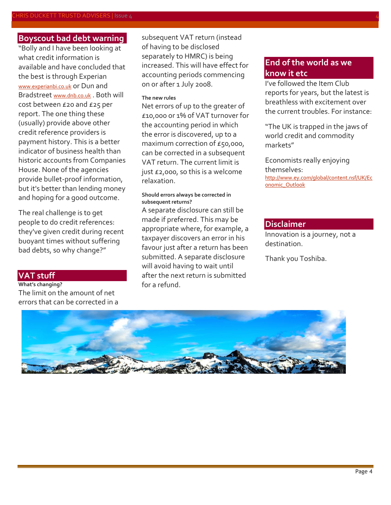## **Boyscout bad debt warning**

"Bolly and I have been looking at what credit information is available and have concluded that the best is through Experian [www.experianbi.co.uk](http://www.experianbi.co.uk/) or Dun and Bradstreet [www.dnb.co.uk](http://www.dnb.co.uk/) . Both will cost between £20 and £25 per report. The one thing these (usually) provide above other credit reference providers is payment history. This is a better indicator of business health than historic accounts from Companies House. None of the agencies provide bullet-proof information, but it's better than lending money and hoping for a good outcome.

The real challenge is to get people to do credit references: they've given credit during recent buoyant times without suffering bad debts, so why change?"

#### **VAT stuff**

**What's changing?** The limit on the amount of net errors that can be corrected in a subsequent VAT return (instead of having to be disclosed separately to HMRC) is being increased. This will have effect for accounting periods commencing on or after 1 July 2008.

#### **The new rules**

Net errors of up to the greater of £10,000 or 1% of VAT turnover for the accounting period in which the error is discovered, up to a maximum correction of £50,000, can be corrected in a subsequent VAT return. The current limit is just £2,000, so this is a welcome relaxation.

#### **Should errors always be corrected in subsequent returns?**

A separate disclosure can still be made if preferred. This may be appropriate where, for example, a taxpayer discovers an error in his favour just after a return has been submitted. A separate disclosure will avoid having to wait until after the next return is submitted for a refund.

## **End of the world as we know it etc**

I've followed the Item Club reports for years, but the latest is breathless with excitement over the current troubles. For instance:

"The UK is trapped in the jaws of world credit and commodity markets"

Economists really enjoying themselves: [http://www.ey.com/global/content.nsf/UK/Ec](http://www.ey.com/global/content.nsf/UK/Economic_Outlook) [onomic\\_Outlook](http://www.ey.com/global/content.nsf/UK/Economic_Outlook)

#### **Disclaimer**

Innovation is a journey, not a destination.

Thank you Toshiba.